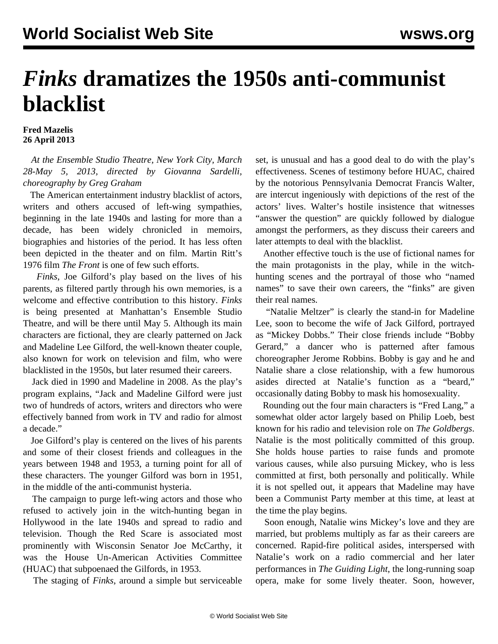## *Finks* **dramatizes the 1950s anti-communist blacklist**

## **Fred Mazelis 26 April 2013**

 *At the Ensemble Studio Theatre, New York City, March 28-May 5, 2013, directed by Giovanna Sardelli, choreography by Greg Graham*

 The American entertainment industry blacklist of actors, writers and others accused of left-wing sympathies, beginning in the late 1940s and lasting for more than a decade, has been widely chronicled in memoirs, biographies and histories of the period. It has less often been depicted in the theater and on film. Martin Ritt's 1976 film *The Front* is one of few such efforts.

 *Finks*, Joe Gilford's play based on the lives of his parents, as filtered partly through his own memories, is a welcome and effective contribution to this history. *Finks* is being presented at Manhattan's Ensemble Studio Theatre, and will be there until May 5. Although its main characters are fictional, they are clearly patterned on Jack and Madeline Lee Gilford, the well-known theater couple, also known for work on television and film, who were blacklisted in the 1950s, but later resumed their careers.

 Jack died in 1990 and Madeline in 2008. As the play's program explains, "Jack and Madeline Gilford were just two of hundreds of actors, writers and directors who were effectively banned from work in TV and radio for almost a decade."

 Joe Gilford's play is centered on the lives of his parents and some of their closest friends and colleagues in the years between 1948 and 1953, a turning point for all of these characters. The younger Gilford was born in 1951, in the middle of the anti-communist hysteria.

 The campaign to purge left-wing actors and those who refused to actively join in the witch-hunting began in Hollywood in the late 1940s and spread to radio and television. Though the Red Scare is associated most prominently with Wisconsin Senator Joe McCarthy, it was the House Un-American Activities Committee (HUAC) that subpoenaed the Gilfords, in 1953.

The staging of *Finks*, around a simple but serviceable

set, is unusual and has a good deal to do with the play's effectiveness. Scenes of testimony before HUAC, chaired by the notorious Pennsylvania Democrat Francis Walter, are intercut ingeniously with depictions of the rest of the actors' lives. Walter's hostile insistence that witnesses "answer the question" are quickly followed by dialogue amongst the performers, as they discuss their careers and later attempts to deal with the blacklist.

 Another effective touch is the use of fictional names for the main protagonists in the play, while in the witchhunting scenes and the portrayal of those who "named names" to save their own careers, the "finks" are given their real names.

 "Natalie Meltzer" is clearly the stand-in for Madeline Lee, soon to become the wife of Jack Gilford, portrayed as "Mickey Dobbs." Their close friends include "Bobby Gerard," a dancer who is patterned after famous choreographer Jerome Robbins. Bobby is gay and he and Natalie share a close relationship, with a few humorous asides directed at Natalie's function as a "beard," occasionally dating Bobby to mask his homosexuality.

 Rounding out the four main characters is "Fred Lang," a somewhat older actor largely based on Philip Loeb, best known for his radio and television role on *The Goldbergs*. Natalie is the most politically committed of this group. She holds house parties to raise funds and promote various causes, while also pursuing Mickey, who is less committed at first, both personally and politically. While it is not spelled out, it appears that Madeline may have been a Communist Party member at this time, at least at the time the play begins.

 Soon enough, Natalie wins Mickey's love and they are married, but problems multiply as far as their careers are concerned. Rapid-fire political asides, interspersed with Natalie's work on a radio commercial and her later performances in *The Guiding Light*, the long-running soap opera, make for some lively theater. Soon, however,